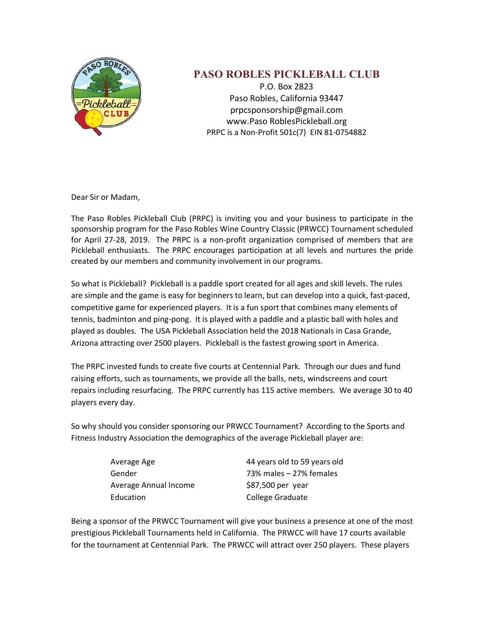

## **PASO ROBLES PICKLEBALL CLUB**

P.O. Box 2823 Paso Robles, California 93447 prpcsponsorship@gmail.com www.Paso RoblesPickleball.org PRPC is a Non-Profit 501c(7) EIN 81-0754882

Dear Sir or Madam,

The Paso Robles Pickleball Club (PRPC) is inviting you and your business to participate in the sponsorship program for the Paso Robles Wine Country Classic (PRWCC) Tournament scheduled for April 27-28, 2019. The PRPC is a non-profit organization comprised of members that are Pickleball enthusiasts. The PRPC encourages participation at all levels and nurtures the pride created by our members and community involvement in our programs.

So what is Pickleball? Pickleball is a paddle sport created for all ages and skill levels. The rules are simple and the game is easy for beginners to learn, but can develop into a quick, fast-paced, competitive game for experienced players. It is a fun sport that combines many elements of tennis, badminton and ping-pong. It is played with a paddle and a plastic ball with holes and played as doubles. The USA Pickleball Association held the 2018 Nationals in Casa Grande, Arizona attracting over 2500 players. Pickleball is the fastest growing sport in America.

The PRPC invested funds to create five courts at Centennial Park. Through our dues and fund raising efforts, such as tournaments, we provide all the balls, nets, windscreens and court repairs including resurfacing. The PRPC currently has 115 active members. We average 30 to 40 players every day.

So why should you consider sponsoring our PRWCC Tournament? According to the Sports and Fitness Industry Association the demographics of the average Pickleball player are:

| Average Age           | 44 years old to 59 years old |
|-----------------------|------------------------------|
| Gender                | 73% males – 27% females      |
| Average Annual Income | \$87,500 per year            |
| Education             | College Graduate             |

Being a sponsor of the PRWCC Tournament will give your business a presence at one of the most prestigious Pickleball Tournaments held in California. The PRWCC will have 17 courts available for the tournament at Centennial Park. The PRWCC will attract over 250 players. These players